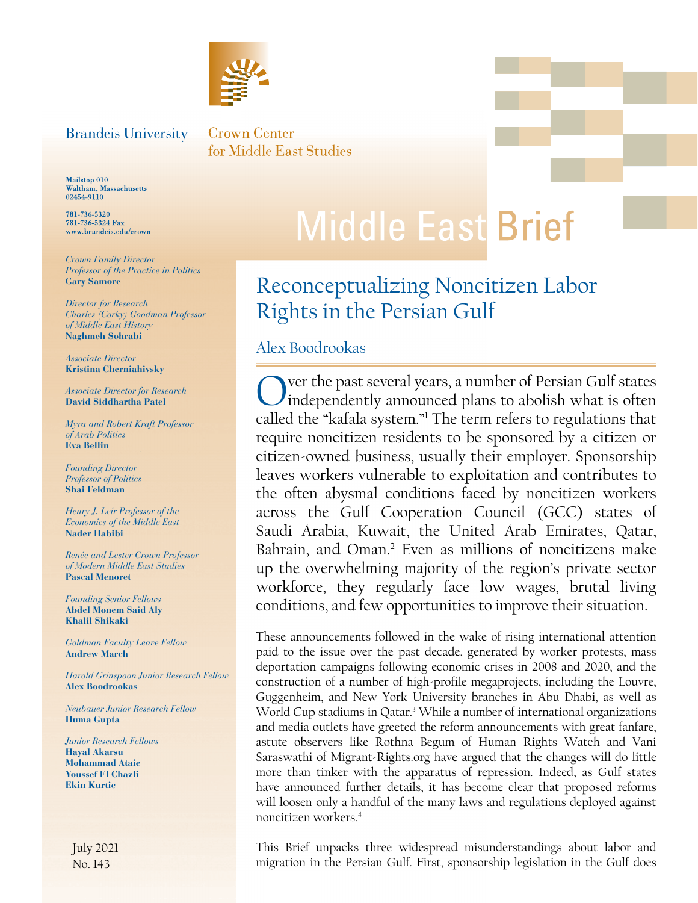

### <span id="page-0-0"></span>**Brandeis University**

Crown Center for Middle East Studies

Mailstop 010 Waltham, Massachusetts<br>02454-9110

781-736-5320 781-736-5324 Fax www.brandeis.edu/crown

*Crown Family Director Professor of the Practice in Politics* **Gary Samore**

*Director for Research Charles (Corky) Goodman Professor of Middle East History*  **Naghmeh Sohrabi**

*Associate Director* **Kristina Cherniahivsky**

*Associate Director for Research* **David Siddhartha Patel**

*Myra and Robert Kraft Professor of Arab Politics* **Eva Bellin**

*Founding Director Professor of Politics* **Shai Feldman**

*Henry J. Leir Professor of the Economics of the Middle East* **Nader Habibi**

*Renée and Lester Crown Professor of Modern Middle East Studies* **Pascal Menoret** 

*Founding Senior Fellows* **Abdel Monem Said Aly Khalil Shikaki**

*Goldman Faculty Leave Fellow* **Andrew March**

*Harold Grinspoon Junior Research Fellow* **Alex Boodrookas**

*Neubauer Junior Research Fellow* **Huma Gupta**

*Junior Research Fellows* **Hayal Akarsu Mohammad Ataie Youssef El Chazli Ekin Kurtic**

July 2021 No. 143

# **Middle East Brief**

## Reconceptualizing Noncitizen Labor Rights in the Persian Gulf

#### Alex Boodrookas

Over the past several years, a number of Persian Gulf states independently announced plans to abolish what is often called the "kafala system."[1](#page-4-0) The term refers to regulations that require noncitizen residents to be sponsored by a citizen or citizen-owned business, usually their employer. Sponsorship leaves workers vulnerable to exploitation and contributes to the often abysmal conditions faced by noncitizen workers across the Gulf Cooperation Council (GCC) states of Saudi Arabia, Kuwait, the United Arab Emirates, Qatar, Bahrain, and Oman.<sup>2</sup> Even as millions of noncitizens make up the overwhelming majority of the region's private sector workforce, they regularly face low wages, brutal living conditions, and few opportunities to improve their situation.

 noncitizen workers[.4](#page-5-0) These announcements followed in the wake of rising international attention paid to the issue over the past decade, generated by worker protests, mass deportation campaigns following economic crises in 2008 and 2020, and the construction of a number of high-profile megaprojects, including the Louvre, Guggenheim, and New York University branches in Abu Dhabi, as well as World Cup stadiums in Qatar.<sup>[3](#page-5-0)</sup> While a number of international organizations and media outlets have greeted the reform announcements with great fanfare, astute observers like Rothna Begum of Human Rights Watch and Vani Saraswathi of Migrant-Rights.org have argued that the changes will do little more than tinker with the apparatus of repression. Indeed, as Gulf states have announced further details, it has become clear that proposed reforms will loosen only a handful of the many laws and regulations deployed against

This Brief unpacks three widespread misunderstandings about labor and migration in the Persian Gulf. First, sponsorship legislation in the Gulf does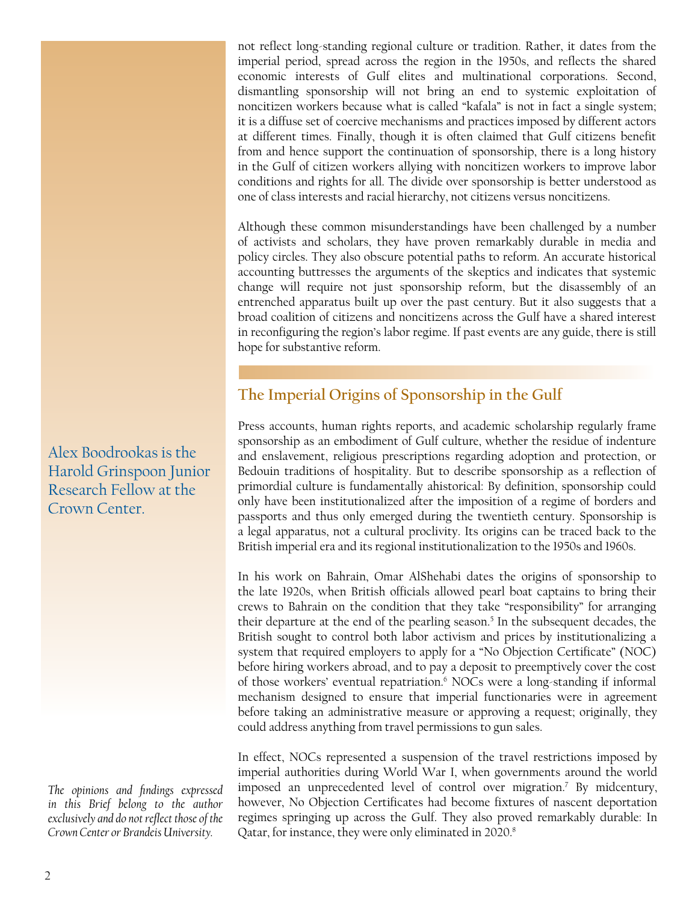<span id="page-1-0"></span>not reflect long-standing regional culture or tradition. Rather, it dates from the imperial period, spread across the region in the 1950s, and reflects the shared economic interests of Gulf elites and multinational corporations. Second, dismantling sponsorship will not bring an end to systemic exploitation of noncitizen workers because what is called "kafala" is not in fact a single system; it is a diffuse set of coercive mechanisms and practices imposed by different actors at different times. Finally, though it is often claimed that Gulf citizens benefit from and hence support the continuation of sponsorship, there is a long history in the Gulf of citizen workers allying with noncitizen workers to improve labor conditions and rights for all. The divide over sponsorship is better understood as one of class interests and racial hierarchy, not citizens versus noncitizens.

Although these common misunderstandings have been challenged by a number of activists and scholars, they have proven remarkably durable in media and policy circles. They also obscure potential paths to reform. An accurate historical accounting buttresses the arguments of the skeptics and indicates that systemic change will require not just sponsorship reform, but the disassembly of an entrenched apparatus built up over the past century. But it also suggests that a broad coalition of citizens and noncitizens across the Gulf have a shared interest in reconfiguring the region's labor regime. If past events are any guide, there is still hope for substantive reform.

### **The Imperial Origins of Sponsorship in the Gulf**

Press accounts, human rights reports, and academic scholarship regularly frame sponsorship as an embodiment of Gulf culture, whether the residue of indenture and enslavement, religious prescriptions regarding adoption and protection, or Bedouin traditions of hospitality. But to describe sponsorship as a reflection of primordial culture is fundamentally ahistorical: By definition, sponsorship could only have been institutionalized after the imposition of a regime of borders and passports and thus only emerged during the twentieth century. Sponsorship is a legal apparatus, not a cultural proclivity. Its origins can be traced back to the British imperial era and its regional institutionalization to the 1950s and 1960s.

In his work on Bahrain, Omar AlShehabi dates the origins of sponsorship to the late 1920s, when British officials allowed pearl boat captains to bring their crews to Bahrain on the condition that they take "responsibility" for arranging their departure at the end of the pearling season.<sup>5</sup> In the subsequent decades, the British sought to control both labor activism and prices by institutionalizing a system that required employers to apply for a "No Objection Certificate" (NOC) before hiring workers abroad, and to pay a deposit to preemptively cover the cost of those workers' eventual repatriation.<sup>6</sup> NOCs were a long-standing if informal mechanism designed to ensure that imperial functionaries were in agreement before taking an administrative measure or approving a request; originally, they could address anything from travel permissions to gun sales.

In effect, NOCs represented a suspension of the travel restrictions imposed by imperial authorities during World War I, when governments around the world imposed an unprecedented level of control over migration.[7](#page-5-0) By midcentury, however, No Objection Certificates had become fixtures of nascent deportation regimes springing up across the Gulf. They also proved remarkably durable: In Qatar, for instance, they were only eliminated in 2020.<sup>[8](#page-5-0)</sup>

Alex Boodrookas is the Harold Grinspoon Junior Research Fellow at the Crown Center.

*The opinions and findings expressed in this Brief belong to the author exclusively and do not reflect those of the Crown Center or Brandeis University.*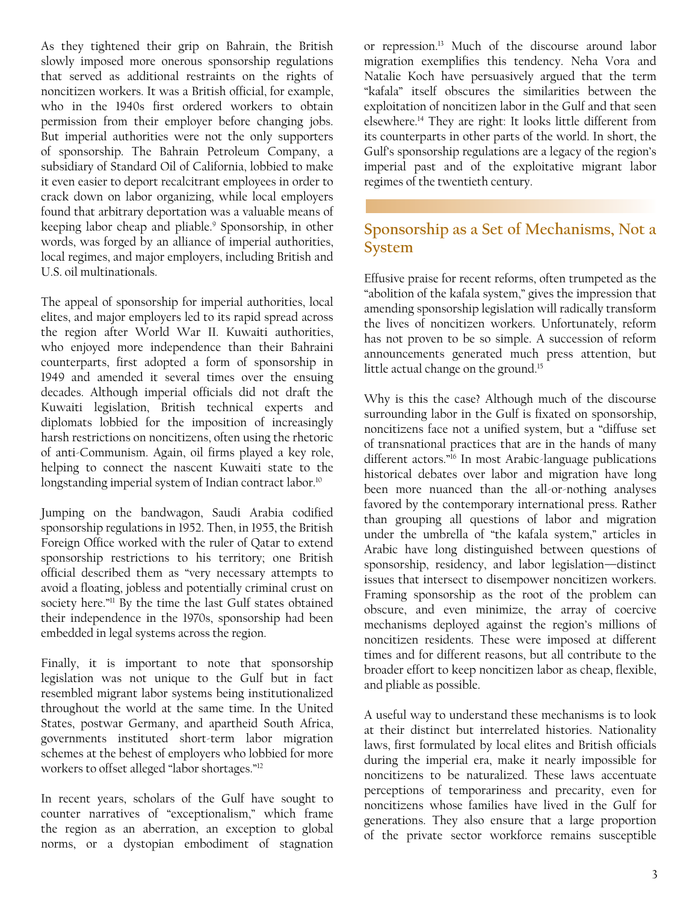<span id="page-2-0"></span>As they tightened their grip on Bahrain, the British slowly imposed more onerous sponsorship regulations that served as additional restraints on the rights of noncitizen workers. It was a British official, for example, who in the 1940s first ordered workers to obtain permission from their employer before changing jobs. But imperial authorities were not the only supporters of sponsorship. The Bahrain Petroleum Company, a subsidiary of Standard Oil of California, lobbied to make it even easier to deport recalcitrant employees in order to crack down on labor organizing, while local employers found that arbitrary deportation was a valuable means of keeping labor cheap and pliable.<sup>9</sup> Sponsorship, in other words, was forged by an alliance of imperial authorities, local regimes, and major employers, including British and U.S. oil multinationals.

The appeal of sponsorship for imperial authorities, local elites, and major employers led to its rapid spread across the region after World War II. Kuwaiti authorities, who enjoyed more independence than their Bahraini counterparts, first adopted a form of sponsorship in 1949 and amended it several times over the ensuing decades. Although imperial officials did not draft the Kuwaiti legislation, British technical experts and diplomats lobbied for the imposition of increasingly harsh restrictions on noncitizens, often using the rhetoric of anti-Communism. Again, oil firms played a key role, helping to connect the nascent Kuwaiti state to the longstanding imperial system of Indian contract labor.<sup>10</sup>

Jumping on the bandwagon, Saudi Arabia codified sponsorship regulations in 1952. Then, in 1955, the British Foreign Office worked with the ruler of Qatar to extend sponsorship restrictions to his territory; one British official described them as "very necessary attempts to avoid a floating, jobless and potentially criminal crust on society here."<sup>11</sup> By the time the last Gulf states obtained their independence in the 1970s, sponsorship had been embedded in legal systems across the region.

Finally, it is important to note that sponsorship legislation was not unique to the Gulf but in fact resembled migrant labor systems being institutionalized throughout the world at the same time. In the United States, postwar Germany, and apartheid South Africa, governments instituted short-term labor migration schemes at the behest of employers who lobbied for more workers to offset alleged "labor shortages."[12](#page-5-0)

In recent years, scholars of the Gulf have sought to counter narratives of "exceptionalism," which frame the region as an aberration, an exception to global norms, or a dystopian embodiment of stagnation or repression[.13](#page-5-0) Much of the discourse around labor migration exemplifies this tendency. Neha Vora and Natalie Koch have persuasively argued that the term "kafala" itself obscures the similarities between the exploitation of noncitizen labor in the Gulf and that seen elsewhere[.14](#page-5-0) They are right: It looks little different from its counterparts in other parts of the world. In short, the Gulf's sponsorship regulations are a legacy of the region's imperial past and of the exploitative migrant labor regimes of the twentieth century.

#### **Sponsorship as a Set of Mechanisms, Not a System**

Effusive praise for recent reforms, often trumpeted as the "abolition of the kafala system," gives the impression that amending sponsorship legislation will radically transform the lives of noncitizen workers. Unfortunately, reform has not proven to be so simple. A succession of reform announcements generated much press attention, but little actual change on the ground.<sup>15</sup>

Why is this the case? Although much of the discourse surrounding labor in the Gulf is fixated on sponsorship, noncitizens face not a unified system, but a "diffuse set of transnational practices that are in the hands of many different actors."<sup>16</sup> In most Arabic-language publications historical debates over labor and migration have long been more nuanced than the all-or-nothing analyses favored by the contemporary international press. Rather than grouping all questions of labor and migration under the umbrella of "the kafala system," articles in Arabic have long distinguished between questions of sponsorship, residency, and labor legislation—distinct issues that intersect to disempower noncitizen workers. Framing sponsorship as the root of the problem can obscure, and even minimize, the array of coercive mechanisms deployed against the region's millions of noncitizen residents. These were imposed at different times and for different reasons, but all contribute to the broader effort to keep noncitizen labor as cheap, flexible, and pliable as possible.

A useful way to understand these mechanisms is to look at their distinct but interrelated histories. Nationality laws, first formulated by local elites and British officials during the imperial era, make it nearly impossible for noncitizens to be naturalized. These laws accentuate perceptions of temporariness and precarity, even for noncitizens whose families have lived in the Gulf for generations. They also ensure that a large proportion of the private sector workforce remains susceptible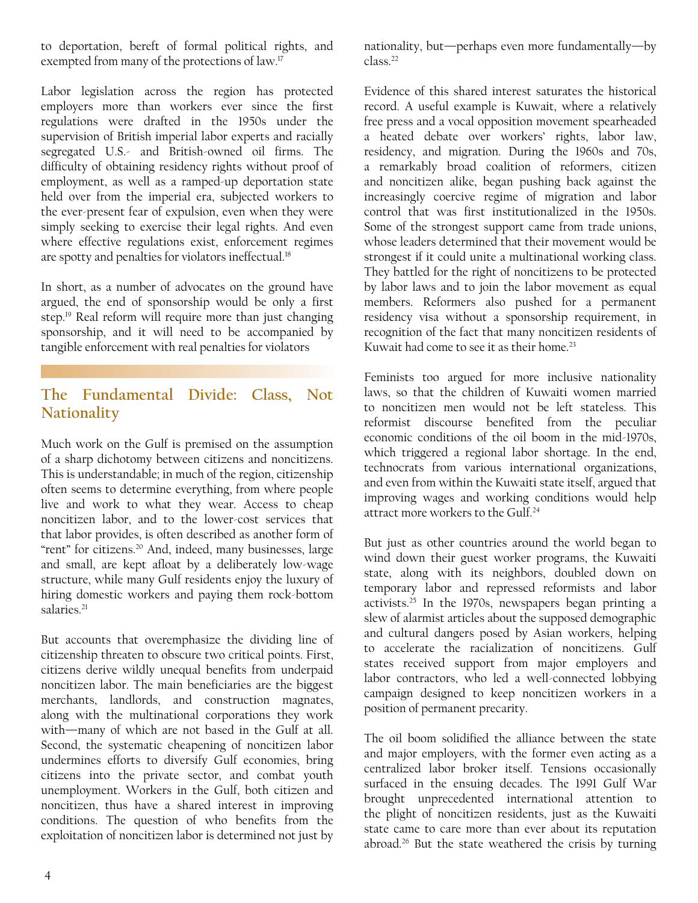<span id="page-3-0"></span>to deportation, bereft of formal political rights, and exempted from many of the protections of law.[17](#page-5-0)

Labor legislation across the region has protected employers more than workers ever since the first regulations were drafted in the 1950s under the supervision of British imperial labor experts and racially segregated U.S.- and British-owned oil firms. The difficulty of obtaining residency rights without proof of employment, as well as a ramped-up deportation state held over from the imperial era, subjected workers to the ever-present fear of expulsion, even when they were simply seeking to exercise their legal rights. And even where effective regulations exist, enforcement regimes are spotty and penalties for violators ineffectual.<sup>18</sup>

In short, as a number of advocates on the ground have argued, the end of sponsorship would be only a first step[.19](#page-5-0) Real reform will require more than just changing sponsorship, and it will need to be accompanied by tangible enforcement with real penalties for violators

#### **The Fundamental Divide: Class, Not Nationality**

Much work on the Gulf is premised on the assumption of a sharp dichotomy between citizens and noncitizens. This is understandable; in much of the region, citizenship often seems to determine everything, from where people live and work to what they wear. Access to cheap noncitizen labor, and to the lower-cost services that that labor provides, is often described as another form of "rent" for citizens.<sup>20</sup> And, indeed, many businesses, large and small, are kept afloat by a deliberately low-wage structure, while many Gulf residents enjoy the luxury of hiring domestic workers and paying them rock-bottom salaries.<sup>21</sup>

But accounts that overemphasize the dividing line of citizenship threaten to obscure two critical points. First, citizens derive wildly unequal benefits from underpaid noncitizen labor. The main beneficiaries are the biggest merchants, landlords, and construction magnates, along with the multinational corporations they work with—many of which are not based in the Gulf at all. Second, the systematic cheapening of noncitizen labor undermines efforts to diversify Gulf economies, bring citizens into the private sector, and combat youth unemployment. Workers in the Gulf, both citizen and noncitizen, thus have a shared interest in improving conditions. The question of who benefits from the exploitation of noncitizen labor is determined not just by nationality, but—perhaps even more fundamentally—by class[.22](#page-5-0)

Evidence of this shared interest saturates the historical record. A useful example is Kuwait, where a relatively free press and a vocal opposition movement spearheaded a heated debate over workers' rights, labor law, residency, and migration. During the 1960s and 70s, a remarkably broad coalition of reformers, citizen and noncitizen alike, began pushing back against the increasingly coercive regime of migration and labor control that was first institutionalized in the 1950s. Some of the strongest support came from trade unions, whose leaders determined that their movement would be strongest if it could unite a multinational working class. They battled for the right of noncitizens to be protected by labor laws and to join the labor movement as equal members. Reformers also pushed for a permanent residency visa without a sponsorship requirement, in recognition of the fact that many noncitizen residents of Kuwait had come to see it as their home.<sup>23</sup>

Feminists too argued for more inclusive nationality laws, so that the children of Kuwaiti women married to noncitizen men would not be left stateless. This reformist discourse benefited from the peculiar economic conditions of the oil boom in the mid-1970s, which triggered a regional labor shortage. In the end, technocrats from various international organizations, and even from within the Kuwaiti state itself, argued that improving wages and working conditions would help attract more workers to the Gulf.<sup>24</sup>

But just as other countries around the world began to wind down their guest worker programs, the Kuwaiti state, along with its neighbors, doubled down on temporary labor and repressed reformists and labor activists.<sup>25</sup> In the 1970s, newspapers began printing a slew of alarmist articles about the supposed demographic and cultural dangers posed by Asian workers, helping to accelerate the racialization of noncitizens. Gulf states received support from major employers and labor contractors, who led a well-connected lobbying campaign designed to keep noncitizen workers in a position of permanent precarity.

The oil boom solidified the alliance between the state and major employers, with the former even acting as a centralized labor broker itself. Tensions occasionally surfaced in the ensuing decades. The 1991 Gulf War brought unprecedented international attention to the plight of noncitizen residents, just as the Kuwaiti state came to care more than ever about its reputation abroad.[26](#page-5-0) But the state weathered the crisis by turning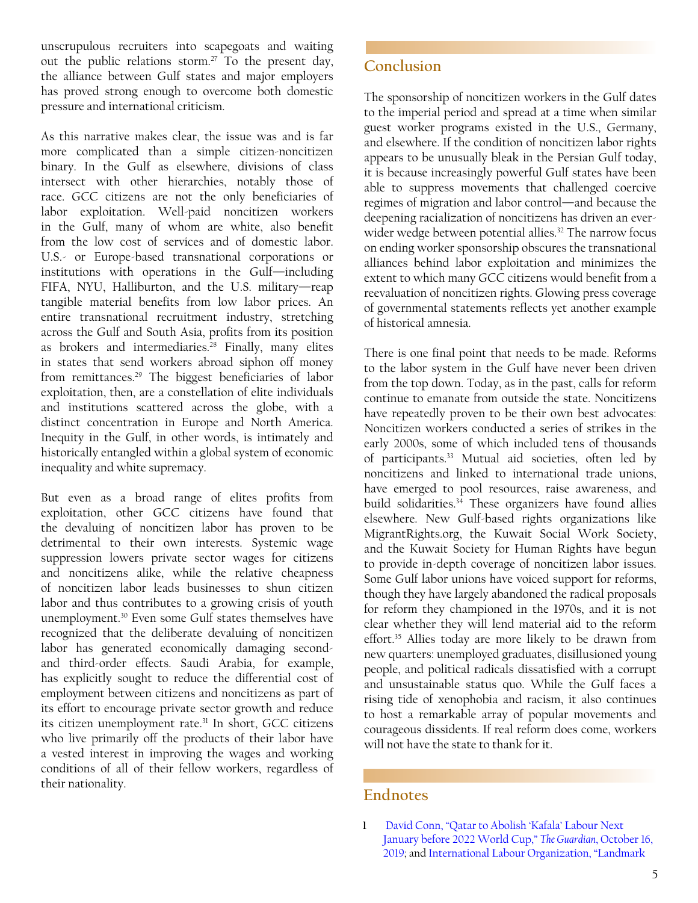<span id="page-4-0"></span>unscrupulous recruiters into scapegoats and waiting out the public relations storm.<sup>27</sup> To the present day, the alliance between Gulf states and major employers has proved strong enough to overcome both domestic pressure and international criticism.

As this narrative makes clear, the issue was and is far more complicated than a simple citizen-noncitizen binary. In the Gulf as elsewhere, divisions of class intersect with other hierarchies, notably those of race. GCC citizens are not the only beneficiaries of labor exploitation. Well-paid noncitizen workers in the Gulf, many of whom are white, also benefit from the low cost of services and of domestic labor. U.S.- or Europe-based transnational corporations or institutions with operations in the Gulf—including FIFA, NYU, Halliburton, and the U.S. military—reap tangible material benefits from low labor prices. An entire transnational recruitment industry, stretching across the Gulf and South Asia, profits from its position as brokers and intermediaries.<sup>[28](#page-6-0)</sup> Finally, many elites in states that send workers abroad siphon off money from remittances[.29](#page-6-0) The biggest beneficiaries of labor exploitation, then, are a constellation of elite individuals and institutions scattered across the globe, with a distinct concentration in Europe and North America. Inequity in the Gulf, in other words, is intimately and historically entangled within a global system of economic inequality and white supremacy.

But even as a broad range of elites profits from exploitation, other GCC citizens have found that the devaluing of noncitizen labor has proven to be detrimental to their own interests. Systemic wage suppression lowers private sector wages for citizens and noncitizens alike, while the relative cheapness of noncitizen labor leads businesses to shun citizen labor and thus contributes to a growing crisis of youth unemployment.[30](#page-6-0) Even some Gulf states themselves have recognized that the deliberate devaluing of noncitizen labor has generated economically damaging secondand third-order effects. Saudi Arabia, for example, has explicitly sought to reduce the differential cost of employment between citizens and noncitizens as part of its effort to encourage private sector growth and reduce its citizen unemployment rate[.31](#page-6-0) In short, GCC citizens who live primarily off the products of their labor have a vested interest in improving the wages and working conditions of all of their fellow workers, regardless of their nationality.

The sponsorship of noncitizen workers in the Gulf dates to the imperial period and spread at a time when similar guest worker programs existed in the U.S., Germany, and elsewhere. If the condition of noncitizen labor rights appears to be unusually bleak in the Persian Gulf today, it is because increasingly powerful Gulf states have been able to suppress movements that challenged coercive regimes of migration and labor control—and because the deepening racialization of noncitizens has driven an everwider wedge between potential allies.<sup>32</sup> The narrow focus on ending worker sponsorship obscures the transnational alliances behind labor exploitation and minimizes the extent to which many GCC citizens would benefit from a reevaluation of noncitizen rights. Glowing press coverage of governmental statements reflects yet another example of historical amnesia.

There is one final point that needs to be made. Reforms to the labor system in the Gulf have never been driven from the top down. Today, as in the past, calls for reform continue to emanate from outside the state. Noncitizens have repeatedly proven to be their own best advocates: Noncitizen workers conducted a series of strikes in the early 2000s, some of which included tens of thousands of participants[.33](#page-6-0) Mutual aid societies, often led by noncitizens and linked to international trade unions, have emerged to pool resources, raise awareness, and build solidarities. $34$  These organizers have found allies elsewhere. New Gulf-based rights organizations like MigrantRights.org, the Kuwait Social Work Society, and the Kuwait Society for Human Rights have begun to provide in-depth coverage of noncitizen labor issues. Some Gulf labor unions have voiced support for reforms, though they have largely abandoned the radical proposals for reform they championed in the 1970s, and it is not clear whether they will lend material aid to the reform effort.<sup>35</sup> Allies today are more likely to be drawn from new quarters: unemployed graduates, disillusioned young people, and political radicals dissatisfied with a corrupt and unsustainable status quo. While the Gulf faces a rising tide of xenophobia and racism, it also continues to host a remarkable array of popular movements and courageous dissidents. If real reform does come, workers will not have the state to thank for it.

#### **Endnotes**

**<sup>1</sup>** [David Conn, "Qatar to Abolish 'Kafala' Labour Next](https://www.theguardian.com/sport/2019/oct/16/qatar-abolish-kafala-january-world-cup-2022)  [January before 2022 World Cup,"](https://www.theguardian.com/sport/2019/oct/16/qatar-abolish-kafala-january-world-cup-2022) *The Guardian*, October 16, [2019;](https://www.theguardian.com/sport/2019/oct/16/qatar-abolish-kafala-january-world-cup-2022) and [International Labour Organization, "Landmark](https://www.ilo.org/global/about-the-ilo/newsroom/news/WCMS_724052/lang--en/index.htm)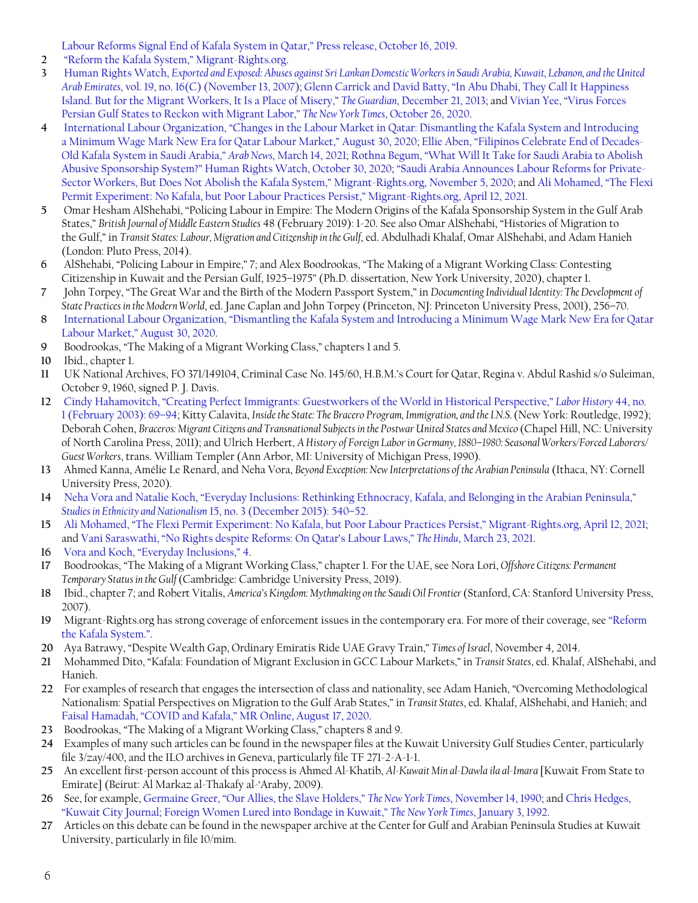[Labour Reforms Signal End of Kafala System in Qatar," Press release, October 16, 2019](https://www.ilo.org/global/about-the-ilo/newsroom/news/WCMS_724052/lang--en/index.htm).

- <span id="page-5-0"></span>**[2](#page-0-0)** ["Reform the Kafala System," Migrant-Rights.org](https://www.migrant-rights.org/campaign/end-the-kafala-system/).
- **[3](#page-0-0)** Human Rights Watch, *[Exported and Exposed: Abuses against Sri Lankan Domestic Workers in Saudi Arabia, Kuwait, Lebanon, and the United](https://www.hrw.org/reports/2007/srilanka1107/srilanka1107web.pdf)  Arab Emirates*[, vol. 19, no. 16\(C\) \(November 13, 2007\);](https://www.hrw.org/reports/2007/srilanka1107/srilanka1107web.pdf) [Glenn Carrick and David Batty, "In Abu Dhabi, They Call It Happiness](https://www.theguardian.com/world/2013/dec/22/abu-dhabi-happiness-island-misery)  [Island. But for the Migrant Workers, It Is a Place of Misery,"](https://www.theguardian.com/world/2013/dec/22/abu-dhabi-happiness-island-misery) *The Guardian*, December 21, 2013; and [Vivian Yee, "Virus Forces](https://www.nytimes.com/2020/05/09/world/middleeast/virus-forces-persian-gulf-states-to-reckon-with-migrant-labor.html)  [Persian Gulf States to Reckon with Migrant Labor,"](https://www.nytimes.com/2020/05/09/world/middleeast/virus-forces-persian-gulf-states-to-reckon-with-migrant-labor.html) *The New York Times*, October 26, 2020.
- **[4](#page-0-0)** [International Labour Organization, "Changes in the Labour Market in Qatar: Dismantling the Kafala System and Introducing](https://www.ilo.org/beirut/projects/qatar-office/WCMS_754391/lang--en/index.htm)  [a Minimum Wage Mark New Era for Qatar Labour Market," August 30, 2020;](https://www.ilo.org/beirut/projects/qatar-office/WCMS_754391/lang--en/index.htm) [Ellie Aben, "Filipinos Celebrate End of Decades-](https://www.arabnews.com/node/1825371/world)[Old Kafala System in Saudi Arabia,"](https://www.arabnews.com/node/1825371/world) *Arab News*, March 14, 2021; [Rothna Begum, "What Will It Take for Saudi Arabia to Abolish](https://www.hrw.org/news/2020/10/30/what-will-it-take-saudi-arabia-abolish-abusive-sponsorship-system#)  [Abusive Sponsorship System?" Human Rights Watch, October 30, 2020;](https://www.hrw.org/news/2020/10/30/what-will-it-take-saudi-arabia-abolish-abusive-sponsorship-system#) ["Saudi Arabia Announces Labour Reforms for Private-](https://www.migrant-rights.org/2020/11/saudi-arabia-announces-labour-reforms-for-private-sector-workers/)[Sector Workers, But Does Not Abolish the Kafala System," Migrant-Rights.org, November 5, 2020](https://www.migrant-rights.org/2020/11/saudi-arabia-announces-labour-reforms-for-private-sector-workers/); and [Ali Mohamed, "The Flexi](https://www.migrant-rights.org/2021/04/the-flexi-permit-experiment-no-kafala-but-poor-labour-practices-persist/)  [Permit Experiment: No Kafala, but Poor Labour Practices Persist," Migrant-Rights.org, April 12, 2021.](https://www.migrant-rights.org/2021/04/the-flexi-permit-experiment-no-kafala-but-poor-labour-practices-persist/)
- **[5](#page-1-0)** Omar Hesham AlShehabi, "Policing Labour in Empire: The Modern Origins of the Kafala Sponsorship System in the Gulf Arab States," *British Journal of Middle Eastern Studies* 48 (February 2019): 1-20. See also Omar AlShehabi, "Histories of Migration to the Gulf," in *Transit States: Labour, Migration and Citizenship in the Gulf*, ed. Abdulhadi Khalaf, Omar AlShehabi, and Adam Hanieh (London: Pluto Press, 2014).
- **[6](#page-1-0)** AlShehabi, "Policing Labour in Empire," 7; and Alex Boodrookas, "The Making of a Migrant Working Class: Contesting Citizenship in Kuwait and the Persian Gulf, 1925–1975" (Ph.D. dissertation, New York University, 2020), chapter 1.
- **[7](#page-1-0)** John Torpey, "The Great War and the Birth of the Modern Passport System," in *Documenting Individual Identity: The Development of State Practices in the Modern World*, ed. Jane Caplan and John Torpey (Princeton, NJ: Princeton University Press, 2001), 256–70.
- **[8](#page-1-0)** [International Labour Organization, "Dismantling the Kafala System and Introducing a Minimum Wage Mark New Era for Qatar](https://www.ilo.org/beirut/projects/qatar-office/WCMS_754391/lang--en/index.htm)  [Labour Market," August 30, 2020.](https://www.ilo.org/beirut/projects/qatar-office/WCMS_754391/lang--en/index.htm)
- **[9](#page-2-0)** Boodrookas, "The Making of a Migrant Working Class," chapters 1 and 5.
- **[10](#page-2-0)** Ibid., chapter 1.
- **[11](#page-2-0)** UK National Archives, FO 371/149104, Criminal Case No. 145/60, H.B.M.'s Court for Qatar, Regina v. Abdul Rashid s/o Suleiman, October 9, 1960, signed P. J. Davis.
- **[12](#page-2-0)** [Cindy Hahamovitch, "Creating Perfect Immigrants: Guestworkers of the World in Historical Perspective,"](https://library.fes.de/libalt/journals/swetsfulltext/16137594.pdf) *Labor History* 44, no. [1 \(February 2003\): 69–94;](https://library.fes.de/libalt/journals/swetsfulltext/16137594.pdf) Kitty Calavita, *Inside the State: The Bracero Program, Immigration, and the I.N.S.* (New York: Routledge, 1992); Deborah Cohen, *Braceros: Migrant Citizens and Transnational Subjects in the Postwar United States and Mexico* (Chapel Hill, NC: University of North Carolina Press, 2011); and Ulrich Herbert, *A History of Foreign Labor in Germany, 1880–1980: Seasonal Workers/Forced Laborers/ Guest Workers*, trans. William Templer (Ann Arbor, MI: University of Michigan Press, 1990).
- **[13](#page-2-0)** Ahmed Kanna, Amélie Le Renard, and Neha Vora, *Beyond Exception: New Interpretations of the Arabian Peninsula* (Ithaca, NY: Cornell University Press, 2020).
- **[14](#page-2-0)** [Neha Vora and Natalie Koch, "Everyday Inclusions: Rethinking Ethnocracy, Kafala, and Belonging in the Arabian Peninsula,"](http://nataliekoch.com/wp-content/uploads/2013/12/Vora_Koch2015web.pdf)  *Studies in Ethnicity and Nationalism* [15, no. 3 \(December 2015\): 540–52.](http://nataliekoch.com/wp-content/uploads/2013/12/Vora_Koch2015web.pdf)
- **[15](#page-2-0)** [Ali Mohamed, "The Flexi Permit Experiment: No Kafala, but Poor Labour Practices Persist," Migrant-Rights.org, April 12, 2021;](https://www.migrant-rights.org/2021/04/the-flexi-permit-experiment-no-kafala-but-poor-labour-practices-persist/) and [Vani Saraswathi, "No Rights despite Reforms: On Qatar's Labour Laws,"](https://www.thehindu.com/opinion/op-ed/no-rights-despite-reforms/article34134834.ece?utm_source=op-ed&utm_medium=sticky_footer) *The Hindu*, March 23, 2021.
- **[16](#page-2-0)** [Vora and Koch, "Everyday Inclusions," 4](http://nataliekoch.com/wp-content/uploads/2013/12/Vora_Koch2015web.pdf).
- **[17](#page-3-0)** Boodrookas, "The Making of a Migrant Working Class," chapter 1. For the UAE, see Nora Lori, *Offshore Citizens: Permanent Temporary Status in the Gulf* (Cambridge: Cambridge University Press, 2019).
- **[18](#page-3-0)** Ibid., chapter 7; and Robert Vitalis, *America's Kingdom: Mythmaking on the Saudi Oil Frontier* (Stanford, CA: Stanford University Press, 2007).
- **[19](#page-3-0)** Migrant-Rights.org has strong coverage of enforcement issues in the contemporary era. For more of their coverage, see ["Reform](https://www.migrant-rights.org/campaign/end-the-kafala-system/)  [the Kafala System.".](https://www.migrant-rights.org/campaign/end-the-kafala-system/)
- **[20](#page-3-0)** Aya Batrawy, "Despite Wealth Gap, Ordinary Emiratis Ride UAE Gravy Train," *Times of Israel*, November 4, 2014.
- **[21](#page-3-0)** Mohammed Dito, "Kafala: Foundation of Migrant Exclusion in GCC Labour Markets," in *Transit States*, ed. Khalaf, AlShehabi, and Hanieh.
- **[22](#page-3-0)** For examples of research that engages the intersection of class and nationality, see Adam Hanieh, "Overcoming Methodological Nationalism: Spatial Perspectives on Migration to the Gulf Arab States," in *Transit States*, ed. Khalaf, AlShehabi, and Hanieh; and [Faisal Hamadah, "COVID and Kafala," MR Online, August 17, 2020.](https://mronline.org/2020/08/17/covid-and-kafala/)
- **[23](#page-3-0)** Boodrookas, "The Making of a Migrant Working Class," chapters 8 and 9.
- **[24](#page-3-0)** Examples of many such articles can be found in the newspaper files at the Kuwait University Gulf Studies Center, particularly file 3/zay/400, and the ILO archives in Geneva, particularly file TF 271-2-A-1-1.
- **[25](#page-3-0)** An excellent first-person account of this process is Ahmed Al-Khatib, *Al-Kuwait Min al-Dawla ila al-Imara* [Kuwait From State to Emirate] (Beirut: Al Markaz al-Thakafy al-'Araby, 2009).
- **[26](#page-3-0)** See, for example, [Germaine Greer, "Our Allies, the Slave Holders,"](https://www.nytimes.com/1990/11/14/opinion/our-allies-the-slave-holders.html) *The New York Times*, November 14, 1990; and [Chris Hedges,](https://www.nytimes.com/1992/01/03/world/kuwait-city-journal-foreign-women-lured-into-bondage-in-kuwait.html)  ["Kuwait City Journal; Foreign Women Lured into Bondage in Kuwait,"](https://www.nytimes.com/1992/01/03/world/kuwait-city-journal-foreign-women-lured-into-bondage-in-kuwait.html) *The New York Times*, January 3, 1992.
- **[27](#page-4-0)** Articles on this debate can be found in the newspaper archive at the Center for Gulf and Arabian Peninsula Studies at Kuwait University, particularly in file 10/mim.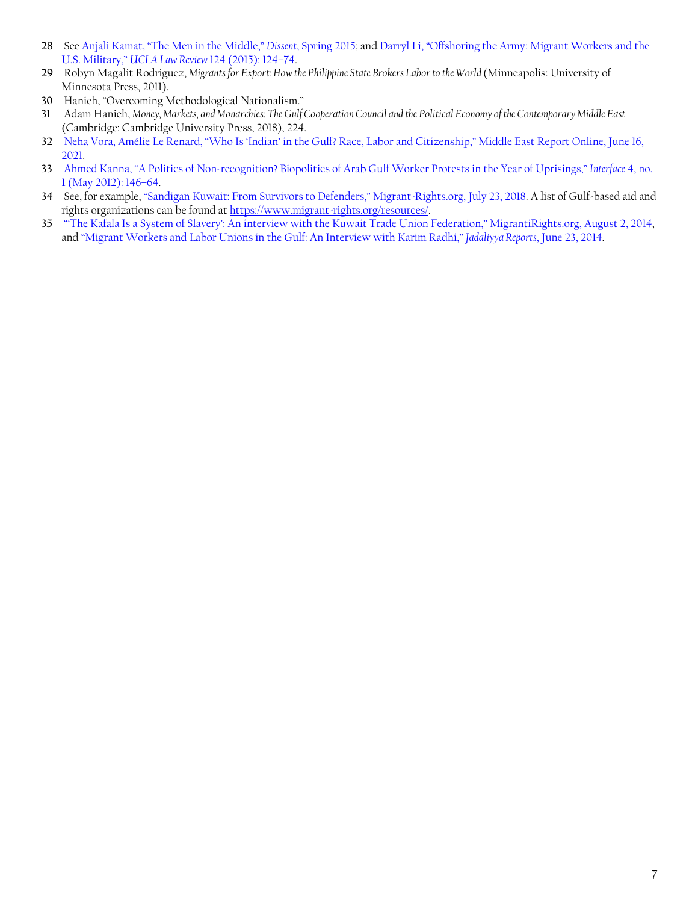- <span id="page-6-0"></span> See [Anjali Kamat, "The Men in the Middle,"](https://www.dissentmagazine.org/article/men-in-the-middle-gulf-states-kafala-migrant-workers) *Dissent*, Spring 2015; and [Darryl Li, "Offshoring the Army: Migrant Workers and the](https://anthropology.uchicago.edu/sites/anthropology.uchicago.edu/files/uploads/offshoring%20the%20army%20final.pdf)  U.S. Military," *UCLA Law Review* [124 \(2015\): 124–74.](https://anthropology.uchicago.edu/sites/anthropology.uchicago.edu/files/uploads/offshoring%20the%20army%20final.pdf)
- Robyn Magalit Rodriguez, *Migrants for Export: How the Philippine State Brokers Labor to the World* (Minneapolis: University of Minnesota Press, 2011).
- Hanieh, "Overcoming Methodological Nationalism."
- Adam Hanieh, *Money, Markets, and Monarchies: The Gulf Cooperation Council and the Political Economy of the Contemporary Middle East* (Cambridge: Cambridge University Press, 2018), 224.
- [Neha Vora, Amélie Le Renard, "Who Is 'Indian' in the Gulf? Race, Labor and Citizenship," Middle East Report Online, June 16,](https://merip.org/2021/06/who-is-indian-in-the-gulf-race-labor-and-citizenship/)  .
- [Ahmed Kanna, "A Politics of Non-recognition? Biopolitics of Arab Gulf Worker Protests in the Year of Uprisings,"](http://www.interfacejournal.net/wordpress/wp-content/uploads/2012/05/Interface-4-1-Kanna.pdf) *Interface* 4, no. [1 \(May 2012\): 146–64](http://www.interfacejournal.net/wordpress/wp-content/uploads/2012/05/Interface-4-1-Kanna.pdf).
- See, for example, ["Sandigan Kuwait: From Survivors to Defenders," Migrant-Rights.org, July 23, 2018](https://www.migrant-rights.org/2018/07/sandigan-kuwait-from-survivors-to-defenders/). A list of Gulf-based aid and rights organizations can be found at [https://www.migrant-rights.org/resources/.](https://www.migrant-rights.org/resources/)
- ["'The Kafala Is a System of Slavery': An interview with the Kuwait Trade Union Federation," MigrantiRights.org, August 2, 2014](https://www.migrant-rights.org/2014/08/the-kafala-is-a-system-of-slavery-an-interview-with-the-kuwait-trade-union-federation/), and ["Migrant Workers and Labor Unions in the Gulf: An Interview with Karim Radhi,"](https://www.jadaliyya.com/Details/30862) *Jadaliyya Reports*, June 23, 2014.